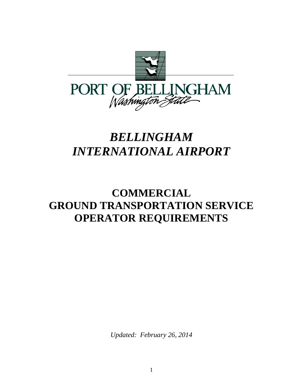

# *BELLINGHAM INTERNATIONAL AIRPORT*

## **COMMERCIAL GROUND TRANSPORTATION SERVICE OPERATOR REQUIREMENTS**

*Updated: February 26, 2014*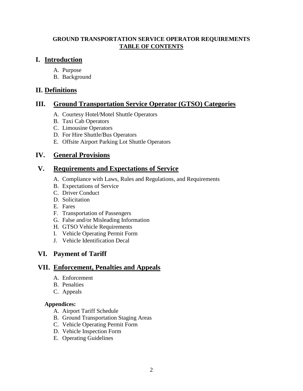#### **GROUND TRANSPORTATION SERVICE OPERATOR REQUIREMENTS TABLE OF CONTENTS**

## **I. Introduction**

- A. Purpose
- B. Background

## **II. Definitions**

## **III. Ground Transportation Service Operator (GTSO) Categories**

- A. Courtesy Hotel/Motel Shuttle Operators
- B. Taxi Cab Operators
- C. Limousine Operators
- D. For Hire Shuttle/Bus Operators
- E. Offsite Airport Parking Lot Shuttle Operators

## **IV. General Provisions**

## **V. Requirements and Expectations of Service**

- A. Compliance with Laws, Rules and Regulations, and Requirements
- B. Expectations of Service
- C. Driver Conduct
- D. Solicitation
- E. Fares
- F. Transportation of Passengers
- G. False and/or Misleading Information
- H. GTSO Vehicle Requirements
- I. Vehicle Operating Permit Form
- J. Vehicle Identification Decal

## **VI. Payment of Tariff**

## **VII. Enforcement, Penalties and Appeals**

- A. Enforcement
- B. Penalties
- C. Appeals

#### **Appendices:**

- A. Airport Tariff Schedule
- B. Ground Transportation Staging Areas
- C. Vehicle Operating Permit Form
- D. Vehicle Inspection Form
- E. Operating Guidelines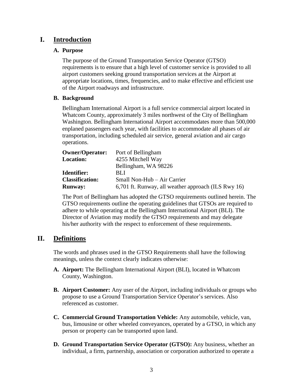### **I. Introduction**

#### **A. Purpose**

The purpose of the Ground Transportation Service Operator (GTSO) requirements is to ensure that a high level of customer service is provided to all airport customers seeking ground transportation services at the Airport at appropriate locations, times, frequencies, and to make effective and efficient use of the Airport roadways and infrastructure.

#### **B. Background**

Bellingham International Airport is a full service commercial airport located in Whatcom County, approximately 3 miles northwest of the City of Bellingham Washington. Bellingham International Airport accommodates more than 500,000 enplaned passengers each year, with facilities to accommodate all phases of air transportation, including scheduled air service, general aviation and air cargo operations.

| <b>Owner/Operator:</b> | Port of Bellingham                                  |
|------------------------|-----------------------------------------------------|
| <b>Location:</b>       | 4255 Mitchell Way                                   |
|                        | Bellingham, WA 98226                                |
| <b>Identifier:</b>     | BLI                                                 |
| <b>Classification:</b> | Small Non-Hub – Air Carrier                         |
| <b>Runway:</b>         | 6,701 ft. Runway, all weather approach (ILS Rwy 16) |

The Port of Bellingham has adopted the GTSO requirements outlined herein. The GTSO requirements outline the operating guidelines that GTSOs are required to adhere to while operating at the Bellingham International Airport (BLI). The Director of Aviation may modify the GTSO requirements and may delegate his/her authority with the respect to enforcement of these requirements.

## **II. Definitions**

The words and phrases used in the GTSO Requirements shall have the following meanings, unless the context clearly indicates otherwise:

- **A. Airport:** The Bellingham International Airport (BLI), located in Whatcom County, Washington.
- **B. Airport Customer:** Any user of the Airport, including individuals or groups who propose to use a Ground Transportation Service Operator's services. Also referenced as customer.
- **C. Commercial Ground Transportation Vehicle:** Any automobile, vehicle, van, bus, limousine or other wheeled conveyances, operated by a GTSO, in which any person or property can be transported upon land.
- **D. Ground Transportation Service Operator (GTSO):** Any business, whether an individual, a firm, partnership, association or corporation authorized to operate a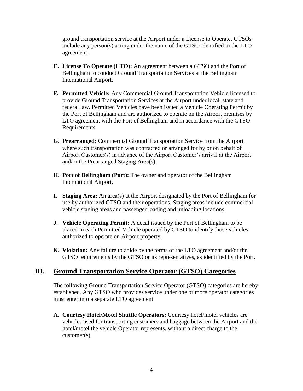ground transportation service at the Airport under a License to Operate. GTSOs include any person(s) acting under the name of the GTSO identified in the LTO agreement.

- **E. License To Operate (LTO):** An agreement between a GTSO and the Port of Bellingham to conduct Ground Transportation Services at the Bellingham International Airport.
- **F. Permitted Vehicle:** Any Commercial Ground Transportation Vehicle licensed to provide Ground Transportation Services at the Airport under local, state and federal law. Permitted Vehicles have been issued a Vehicle Operating Permit by the Port of Bellingham and are authorized to operate on the Airport premises by LTO agreement with the Port of Bellingham and in accordance with the GTSO Requirements.
- **G. Prearranged:** Commercial Ground Transportation Service from the Airport, where such transportation was contracted or arranged for by or on behalf of Airport Customer(s) in advance of the Airport Customer's arrival at the Airport and/or the Prearranged Staging Area(s).
- **H. Port of Bellingham (Port):** The owner and operator of the Bellingham International Airport.
- **I. Staging Area:** An area(s) at the Airport designated by the Port of Bellingham for use by authorized GTSO and their operations. Staging areas include commercial vehicle staging areas and passenger loading and unloading locations.
- **J. Vehicle Operating Permit:** A decal issued by the Port of Bellingham to be placed in each Permitted Vehicle operated by GTSO to identify those vehicles authorized to operate on Airport property.
- **K. Violation:** Any failure to abide by the terms of the LTO agreement and/or the GTSO requirements by the GTSO or its representatives, as identified by the Port.

## **III. Ground Transportation Service Operator (GTSO) Categories**

The following Ground Transportation Service Operator (GTSO) categories are hereby established. Any GTSO who provides service under one or more operator categories must enter into a separate LTO agreement.

**A. Courtesy Hotel/Motel Shuttle Operators:** Courtesy hotel/motel vehicles are vehicles used for transporting customers and baggage between the Airport and the hotel/motel the vehicle Operator represents, without a direct charge to the customer(s).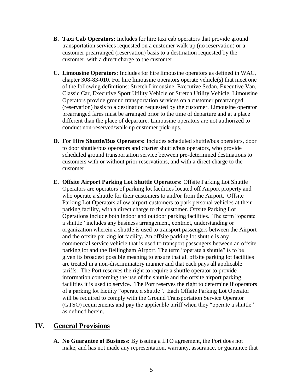- **B. Taxi Cab Operators:** Includes for hire taxi cab operators that provide ground transportation services requested on a customer walk up (no reservation) or a customer prearranged (reservation) basis to a destination requested by the customer, with a direct charge to the customer.
- **C. Limousine Operators**: Includes for hire limousine operators as defined in WAC, chapter 308-83-010. For hire limousine operators operate vehicle(s) that meet one of the following definitions: Stretch Limousine, Executive Sedan, Executive Van, Classic Car, Executive Sport Utility Vehicle or Stretch Utility Vehicle. Limousine Operators provide ground transportation services on a customer prearranged (reservation) basis to a destination requested by the customer. Limousine operator prearranged fares must be arranged prior to the time of departure and at a place different than the place of departure. Limousine operators are not authorized to conduct non-reserved/walk-up customer pick-ups.
- **D. For Hire Shuttle/Bus Operators:** Includes scheduled shuttle/bus operators, door to door shuttle/bus operators and charter shuttle/bus operators, who provide scheduled ground transportation service between pre-determined destinations to customers with or without prior reservations, and with a direct charge to the customer.
- **E. Offsite Airport Parking Lot Shuttle Operators:** Offsite Parking Lot Shuttle Operators are operators of parking lot facilities located off Airport property and who operate a shuttle for their customers to and/or from the Airport. Offsite Parking Lot Operators allow airport customers to park personal vehicles at their parking facility, with a direct charge to the customer. Offsite Parking Lot Operations include both indoor and outdoor parking facilities. The term "operate a shuttle" includes any business arrangement, contract, understanding or organization wherein a shuttle is used to transport passengers between the Airport and the offsite parking lot facility. An offsite parking lot shuttle is any commercial service vehicle that is used to transport passengers between an offsite parking lot and the Bellingham Airport. The term "operate a shuttle" is to be given its broadest possible meaning to ensure that all offsite parking lot facilities are treated in a non-discriminatory manner and that each pays all applicable tariffs. The Port reserves the right to require a shuttle operator to provide information concerning the use of the shuttle and the offsite airport parking facilities it is used to service. The Port reserves the right to determine if operators of a parking lot facility "operate a shuttle". Each Offsite Parking Lot Operator will be required to comply with the Ground Transportation Service Operator (GTSO) requirements and pay the applicable tariff when they "operate a shuttle" as defined herein.

#### **IV. General Provisions**

**A. No Guarantee of Business:** By issuing a LTO agreement, the Port does not make, and has not made any representation, warranty, assurance, or guarantee that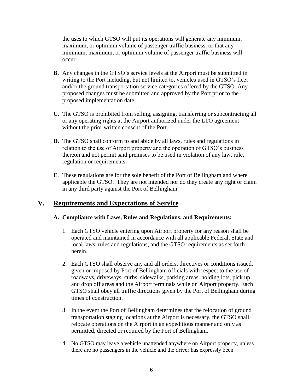the uses to which GTSO will put its operations will generate any minimum, maximum, or optimum volume of passenger traffic business, or that any minimum, maximum, or optimum volume of passenger traffic business will occur.

- **B.** Any changes in the GTSO's service levels at the Airport must be submitted in writing to the Port including, but not limited to, vehicles used in GTSO's fleet and/or the ground transportation service categories offered by the GTSO. Any proposed changes must be submitted and approved by the Port prior to the proposed implementation date.
- **C.** The GTSO is prohibited from selling, assigning, transferring or subcontracting all or any operating rights at the Airport authorized under the LTO agreement without the prior written consent of the Port.
- **D.** The GTSO shall conform to and abide by all laws, rules and regulations in relation to the use of Airport property and the operation of GTSO's business thereon and not permit said premises to be used in violation of any law, rule, regulation or requirements.
- **E**. These regulations are for the sole benefit of the Port of Bellingham and where applicable the GTSO. They are not intended nor do they create any right or claim in any third party against the Port of Bellingham.

## **V. Requirements and Expectations of Service**

#### **A. Compliance with Laws, Rules and Regulations, and Requirements:**

- 1. Each GTSO vehicle entering upon Airport property for any reason shall be operated and maintained in accordance with all applicable Federal, State and local laws, rules and regulations, and the GTSO requirements as set forth herein.
- 2. Each GTSO shall observe any and all orders, directives or conditions issued, given or imposed by Port of Bellingham officials with respect to the use of roadways, driveways, curbs, sidewalks, parking areas, holding lots, pick up and drop off areas and the Airport terminals while on Airport property. Each GTSO shall obey all traffic directions given by the Port of Bellingham during times of construction.
- 3. In the event the Port of Bellingham determines that the relocation of ground transportation staging locations at the Airport is necessary, the GTSO shall relocate operations on the Airport in an expeditious manner and only as permitted, directed or required by the Port of Bellingham.
- 4. No GTSO may leave a vehicle unattended anywhere on Airport property, unless there are no passengers in the vehicle and the driver has expressly been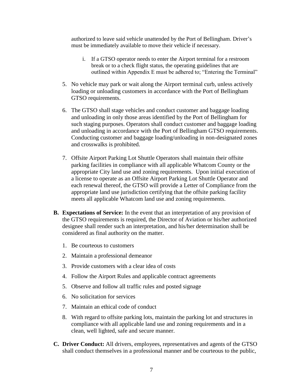authorized to leave said vehicle unattended by the Port of Bellingham. Driver's must be immediately available to move their vehicle if necessary.

- i. If a GTSO operator needs to enter the Airport terminal for a restroom break or to a check flight status, the operating guidelines that are outlined within Appendix E must be adhered to; "Entering the Terminal"
- 5. No vehicle may park or wait along the Airport terminal curb, unless actively loading or unloading customers in accordance with the Port of Bellingham GTSO requirements.
- 6. The GTSO shall stage vehicles and conduct customer and baggage loading and unloading in only those areas identified by the Port of Bellingham for such staging purposes. Operators shall conduct customer and baggage loading and unloading in accordance with the Port of Bellingham GTSO requirements. Conducting customer and baggage loading/unloading in non-designated zones and crosswalks is prohibited.
- 7. Offsite Airport Parking Lot Shuttle Operators shall maintain their offsite parking facilities in compliance with all applicable Whatcom County or the appropriate City land use and zoning requirements. Upon initial execution of a license to operate as an Offsite Airport Parking Lot Shuttle Operator and each renewal thereof, the GTSO will provide a Letter of Compliance from the appropriate land use jurisdiction certifying that the offsite parking facility meets all applicable Whatcom land use and zoning requirements.
- **B. Expectations of Service:** In the event that an interpretation of any provision of the GTSO requirements is required, the Director of Aviation or his/her authorized designee shall render such an interpretation, and his/her determination shall be considered as final authority on the matter.
	- 1. Be courteous to customers
	- 2. Maintain a professional demeanor
	- 3. Provide customers with a clear idea of costs
	- 4. Follow the Airport Rules and applicable contract agreements
	- 5. Observe and follow all traffic rules and posted signage
	- 6. No solicitation for services
	- 7. Maintain an ethical code of conduct
	- 8. With regard to offsite parking lots, maintain the parking lot and structures in compliance with all applicable land use and zoning requirements and in a clean, well lighted, safe and secure manner.
- **C. Driver Conduct:** All drivers, employees, representatives and agents of the GTSO shall conduct themselves in a professional manner and be courteous to the public,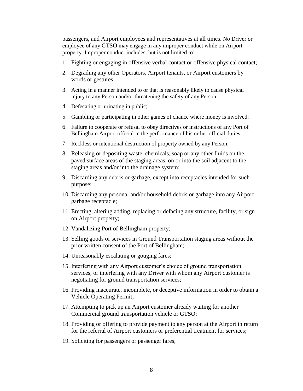passengers, and Airport employees and representatives at all times. No Driver or employee of any GTSO may engage in any improper conduct while on Airport property. Improper conduct includes, but is not limited to:

- 1. Fighting or engaging in offensive verbal contact or offensive physical contact;
- 2. Degrading any other Operators, Airport tenants, or Airport customers by words or gestures;
- 3. Acting in a manner intended to or that is reasonably likely to cause physical injury to any Person and/or threatening the safety of any Person;
- 4. Defecating or urinating in public;
- 5. Gambling or participating in other games of chance where money is involved;
- 6. Failure to cooperate or refusal to obey directives or instructions of any Port of Bellingham Airport official in the performance of his or her official duties;
- 7. Reckless or intentional destruction of property owned by any Person;
- 8. Releasing or depositing waste, chemicals, soap or any other fluids on the paved surface areas of the staging areas, on or into the soil adjacent to the staging areas and/or into the drainage system;
- 9. Discarding any debris or garbage, except into receptacles intended for such purpose;
- 10. Discarding any personal and/or household debris or garbage into any Airport garbage receptacle;
- 11. Erecting, altering adding, replacing or defacing any structure, facility, or sign on Airport property;
- 12. Vandalizing Port of Bellingham property;
- 13. Selling goods or services in Ground Transportation staging areas without the prior written consent of the Port of Bellingham;
- 14. Unreasonably escalating or gouging fares;
- 15. Interfering with any Airport customer's choice of ground transportation services, or interfering with any Driver with whom any Airport customer is negotiating for ground transportation services;
- 16. Providing inaccurate, incomplete, or deceptive information in order to obtain a Vehicle Operating Permit;
- 17. Attempting to pick up an Airport customer already waiting for another Commercial ground transportation vehicle or GTSO;
- 18. Providing or offering to provide payment to any person at the Airport in return for the referral of Airport customers or preferential treatment for services;
- 19. Soliciting for passengers or passenger fares;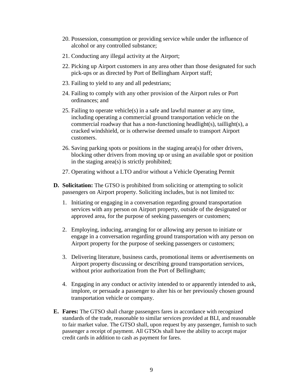- 20. Possession, consumption or providing service while under the influence of alcohol or any controlled substance;
- 21. Conducting any illegal activity at the Airport;
- 22. Picking up Airport customers in any area other than those designated for such pick-ups or as directed by Port of Bellingham Airport staff;
- 23. Failing to yield to any and all pedestrians;
- 24. Failing to comply with any other provision of the Airport rules or Port ordinances; and
- 25. Failing to operate vehicle(s) in a safe and lawful manner at any time, including operating a commercial ground transportation vehicle on the commercial roadway that has a non-functioning headlight(s), taillight(s), a cracked windshield, or is otherwise deemed unsafe to transport Airport customers.
- 26. Saving parking spots or positions in the staging area(s) for other drivers, blocking other drivers from moving up or using an available spot or position in the staging area(s) is strictly prohibited;
- 27. Operating without a LTO and/or without a Vehicle Operating Permit
- **D. Solicitation:** The GTSO is prohibited from soliciting or attempting to solicit passengers on Airport property. Soliciting includes, but is not limited to:
	- 1. Initiating or engaging in a conversation regarding ground transportation services with any person on Airport property, outside of the designated or approved area, for the purpose of seeking passengers or customers;
	- 2. Employing, inducing, arranging for or allowing any person to initiate or engage in a conversation regarding ground transportation with any person on Airport property for the purpose of seeking passengers or customers;
	- 3. Delivering literature, business cards, promotional items or advertisements on Airport property discussing or describing ground transportation services, without prior authorization from the Port of Bellingham;
	- 4. Engaging in any conduct or activity intended to or apparently intended to ask, implore, or persuade a passenger to alter his or her previously chosen ground transportation vehicle or company.
- **E. Fares:** The GTSO shall charge passengers fares in accordance with recognized standards of the trade, reasonable to similar services provided at BLI, and reasonable to fair market value. The GTSO shall, upon request by any passenger, furnish to such passenger a receipt of payment. All GTSOs shall have the ability to accept major credit cards in addition to cash as payment for fares.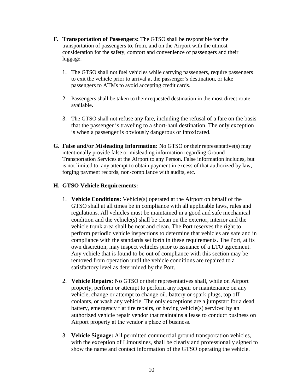- **F. Transportation of Passengers:** The GTSO shall be responsible for the transportation of passengers to, from, and on the Airport with the utmost consideration for the safety, comfort and convenience of passengers and their luggage.
	- 1. The GTSO shall not fuel vehicles while carrying passengers, require passengers to exit the vehicle prior to arrival at the passenger's destination, or take passengers to ATMs to avoid accepting credit cards.
	- 2. Passengers shall be taken to their requested destination in the most direct route available.
	- 3. The GTSO shall not refuse any fare, including the refusal of a fare on the basis that the passenger is traveling to a short-haul destination. The only exception is when a passenger is obviously dangerous or intoxicated.
- **G. False and/or Misleading Information:** No GTSO or their representative(s) may intentionally provide false or misleading information regarding Ground Transportation Services at the Airport to any Person. False information includes, but is not limited to, any attempt to obtain payment in excess of that authorized by law, forging payment records, non-compliance with audits, etc.

#### **H. GTSO Vehicle Requirements:**

- 1. **Vehicle Conditions:** Vehicle(s) operated at the Airport on behalf of the GTSO shall at all times be in compliance with all applicable laws, rules and regulations. All vehicles must be maintained in a good and safe mechanical condition and the vehicle(s) shall be clean on the exterior, interior and the vehicle trunk area shall be neat and clean. The Port reserves the right to perform periodic vehicle inspections to determine that vehicles are safe and in compliance with the standards set forth in these requirements. The Port, at its own discretion, may inspect vehicles prior to issuance of a LTO agreement. Any vehicle that is found to be out of compliance with this section may be removed from operation until the vehicle conditions are repaired to a satisfactory level as determined by the Port.
- 2. **Vehicle Repairs:** No GTSO or their representatives shall, while on Airport property, perform or attempt to perform any repair or maintenance on any vehicle, change or attempt to change oil, battery or spark plugs, top off coolants, or wash any vehicle. The only exceptions are a jumpstart for a dead battery, emergency flat tire repairs, or having vehicle(s) serviced by an authorized vehicle repair vendor that maintains a lease to conduct business on Airport property at the vendor's place of business.
- 3. **Vehicle Signage:** All permitted commercial ground transportation vehicles, with the exception of Limousines, shall be clearly and professionally signed to show the name and contact information of the GTSO operating the vehicle.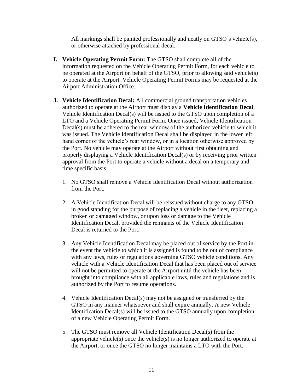All markings shall be painted professionally and neatly on GTSO's vehicle(s), or otherwise attached by professional decal.

- **I. Vehicle Operating Permit Form:** The GTSO shall complete all of the information requested on the Vehicle Operating Permit Form, for each vehicle to be operated at the Airport on behalf of the GTSO, prior to allowing said vehicle(s) to operate at the Airport. Vehicle Operating Permit Forms may be requested at the Airport Administration Office.
- **J. Vehicle Identification Decal:** All commercial ground transportation vehicles authorized to operate at the Airport must display a **Vehicle Identification Decal**. Vehicle Identification Decal(s) will be issued to the GTSO upon completion of a LTO and a Vehicle Operating Permit Form. Once issued, Vehicle Identification Decal(s) must be adhered to the rear window of the authorized vehicle to which it was issued. The Vehicle Identification Decal shall be displayed in the lower left hand corner of the vehicle's rear window, or in a location otherwise approved by the Port. No vehicle may operate at the Airport without first obtaining and properly displaying a Vehicle Identification Decal(s) or by receiving prior written approval from the Port to operate a vehicle without a decal on a temporary and time specific basis.
	- 1. No GTSO shall remove a Vehicle Identification Decal without authorization from the Port.
	- 2. A Vehicle Identification Decal will be reissued without charge to any GTSO in good standing for the purpose of replacing a vehicle in the fleet, replacing a broken or damaged window, or upon loss or damage to the Vehicle Identification Decal, provided the remnants of the Vehicle Identification Decal is returned to the Port.
	- 3. Any Vehicle Identification Decal may be placed out of service by the Port in the event the vehicle to which it is assigned is found to be out of compliance with any laws, rules or regulations governing GTSO vehicle conditions. Any vehicle with a Vehicle Identification Decal that has been placed out of service will not be permitted to operate at the Airport until the vehicle has been brought into compliance with all applicable laws, rules and regulations and is authorized by the Port to resume operations.
	- 4. Vehicle Identification Decal(s) may not be assigned or transferred by the GTSO in any manner whatsoever and shall expire annually. A new Vehicle Identification Decal(s) will be issued to the GTSO annually upon completion of a new Vehicle Operating Permit Form.
	- 5. The GTSO must remove all Vehicle Identification Decal(s) from the appropriate vehicle(s) once the vehicle(s) is no longer authorized to operate at the Airport, or once the GTSO no longer maintains a LTO with the Port.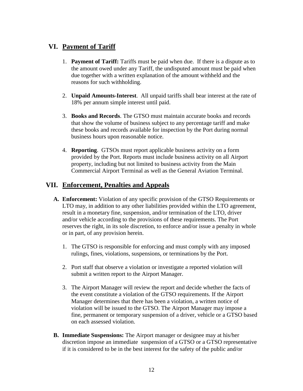## **VI. Payment of Tariff**

- 1. **Payment of Tariff:** Tariffs must be paid when due. If there is a dispute as to the amount owed under any Tariff, the undisputed amount must be paid when due together with a written explanation of the amount withheld and the reasons for such withholding.
- 2. **Unpaid Amounts-Interest**. All unpaid tariffs shall bear interest at the rate of 18% per annum simple interest until paid.
- 3. **Books and Records**. The GTSO must maintain accurate books and records that show the volume of business subject to any percentage tariff and make these books and records available for inspection by the Port during normal business hours upon reasonable notice.
- 4. **Reporting**. GTSOs must report applicable business activity on a form provided by the Port. Reports must include business activity on all Airport property, including but not limited to business activity from the Main Commercial Airport Terminal as well as the General Aviation Terminal.

## **VII. Enforcement, Penalties and Appeals**

- **A. Enforcement:** Violation of any specific provision of the GTSO Requirements or LTO may, in addition to any other liabilities provided within the LTO agreement, result in a monetary fine, suspension, and/or termination of the LTO, driver and/or vehicle according to the provisions of these requirements. The Port reserves the right, in its sole discretion, to enforce and/or issue a penalty in whole or in part, of any provision herein.
	- 1. The GTSO is responsible for enforcing and must comply with any imposed rulings, fines, violations, suspensions, or terminations by the Port.
	- 2. Port staff that observe a violation or investigate a reported violation will submit a written report to the Airport Manager.
	- 3. The Airport Manager will review the report and decide whether the facts of the event constitute a violation of the GTSO requirements. If the Airport Manager determines that there has been a violation, a written notice of violation will be issued to the GTSO. The Airport Manager may impose a fine, permanent or temporary suspension of a driver, vehicle or a GTSO based on each assessed violation.
- **B. Immediate Suspensions:** The Airport manager or designee may at his/her discretion impose an immediate suspension of a GTSO or a GTSO representative if it is considered to be in the best interest for the safety of the public and/or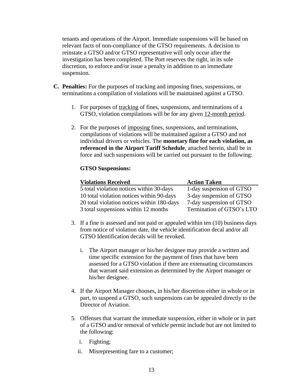tenants and operations of the Airport. Immediate suspensions will be based on relevant facts of non-compliance of the GTSO requirements. A decision to reinstate a GTSO and/or GTSO representative will only occur after the investigation has been completed. The Port reserves the right, in its sole discretion, to enforce and/or issue a penalty in addition to an immediate suspension.

- **C. Penalties:** For the purposes of tracking and imposing fines, suspensions, or terminations a compilation of violations will be maintained against a GTSO.
	- 1. For purposes of tracking of fines, suspensions, and terminations of a GTSO, violation compilations will be for any given 12-month period.
	- 2. For the purposes of imposing fines, suspensions, and terminations, compilations of violations will be maintained against a GTSO and not individual drivers or vehicles. The **monetary fine for each violation, as referenced in the Airport Tariff Schedule**, attached herein, shall be in force and such suspensions will be carried out pursuant to the following:

#### **GTSO Suspensions:**

| <b>Violations Received</b>                 | <b>Action Taken</b>       |
|--------------------------------------------|---------------------------|
| 5 total violation notices within 30-days   | 1-day suspension of GTSO  |
| 10 total violation notices within 90-days  | 3-day suspension of GTSO  |
| 20 total violation notices within 180-days | 7-day suspension of GTSO  |
| 3 total suspensions within 12 months       | Termination of GTSO's LTO |

- 3. If a fine is assessed and not paid or appealed within ten (10) business days from notice of violation date, the vehicle identification decal and/or all GTSO Identification decals will be revoked.
	- i. The Airport manager or his/her designee may provide a written and time specific extension for the payment of fines that have been assessed for a GTSO violation if there are extenuating circumstances that warrant said extension as determined by the Airport manager or his/her designee.
- 4. If the Airport Manager chooses, in his/her discretion either in whole or in part, to suspend a GTSO, such suspensions can be appealed directly to the Director of Aviation.
- 5. Offenses that warrant the immediate suspension, either in whole or in part of a GTSO and/or removal of vehicle permit include but are not limited to the following:
	- i. Fighting;
	- ii. Misrepresenting fare to a customer;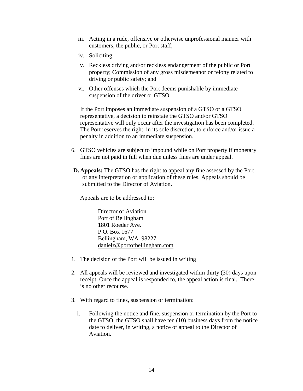- iii. Acting in a rude, offensive or otherwise unprofessional manner with customers, the public, or Port staff;
- iv. Soliciting;
- v. Reckless driving and/or reckless endangerment of the public or Port property; Commission of any gross misdemeanor or felony related to driving or public safety; and
- vi. Other offenses which the Port deems punishable by immediate suspension of the driver or GTSO.

If the Port imposes an immediate suspension of a GTSO or a GTSO representative, a decision to reinstate the GTSO and/or GTSO representative will only occur after the investigation has been completed. The Port reserves the right, in its sole discretion, to enforce and/or issue a penalty in addition to an immediate suspension.

- 6. GTSO vehicles are subject to impound while on Port property if monetary fines are not paid in full when due unless fines are under appeal.
- **D. Appeals:** The GTSO has the right to appeal any fine assessed by the Port or any interpretation or application of these rules. Appeals should be submitted to the Director of Aviation.

Appeals are to be addressed to:

Director of Aviation Port of Bellingham 1801 Roeder Ave. P.O. Box 1677 Bellingham, WA 98227 [danielz@portofbellingham.com](mailto:danielz@portofbellingham.com)

- 1. The decision of the Port will be issued in writing
- 2. All appeals will be reviewed and investigated within thirty (30) days upon receipt. Once the appeal is responded to, the appeal action is final. There is no other recourse.
- 3. With regard to fines, suspension or termination:
	- i. Following the notice and fine, suspension or termination by the Port to the GTSO, the GTSO shall have ten (10) business days from the notice date to deliver, in writing, a notice of appeal to the Director of Aviation.